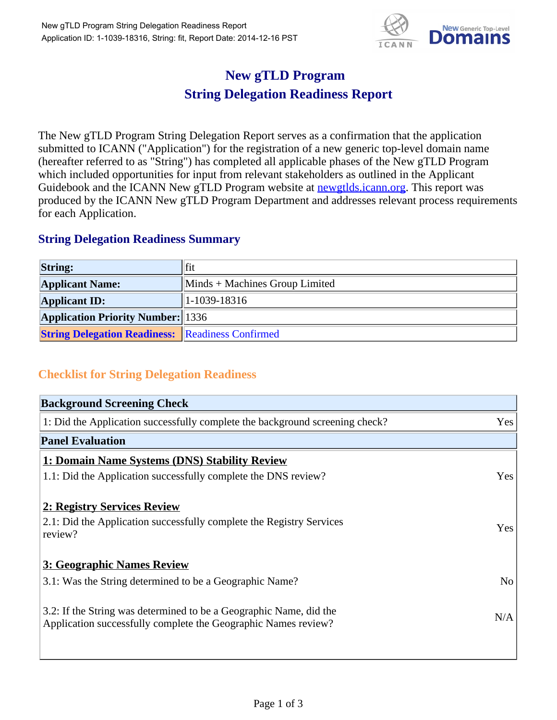

## **New gTLD Program String Delegation Readiness Report**

The New gTLD Program String Delegation Report serves as a confirmation that the application submitted to ICANN ("Application") for the registration of a new generic top-level domain name (hereafter referred to as "String") has completed all applicable phases of the New gTLD Program which included opportunities for input from relevant stakeholders as outlined in the Applicant Guidebook and the ICANN New gTLD Program website at newgtlds.icann.org. This report was produced by the ICANN New gTLD Program Department and addresses relevant process requirements for each Application.

## **String Delegation Readiness Summary**

| <b>String:</b>                                          | fit                                         |
|---------------------------------------------------------|---------------------------------------------|
| <b>Applicant Name:</b>                                  | $\mathbf{M}$ Minds + Machines Group Limited |
| <b>Applicant ID:</b>                                    | 1-1039-18316                                |
| <b>Application Priority Number: 1336</b>                |                                             |
| <b>String Delegation Readiness:</b> Readiness Confirmed |                                             |

## **Checklist for String Delegation Readiness**

| <b>Background Screening Check</b>                                                                                                    |                |
|--------------------------------------------------------------------------------------------------------------------------------------|----------------|
| 1: Did the Application successfully complete the background screening check?                                                         | Yes            |
| <b>Panel Evaluation</b>                                                                                                              |                |
| 1: Domain Name Systems (DNS) Stability Review                                                                                        |                |
| 1.1: Did the Application successfully complete the DNS review?                                                                       | Yes            |
| 2: Registry Services Review                                                                                                          |                |
| 2.1: Did the Application successfully complete the Registry Services<br>review?                                                      | Yes            |
| 3: Geographic Names Review                                                                                                           |                |
| 3.1: Was the String determined to be a Geographic Name?                                                                              | N <sub>o</sub> |
| 3.2: If the String was determined to be a Geographic Name, did the<br>Application successfully complete the Geographic Names review? | N/A            |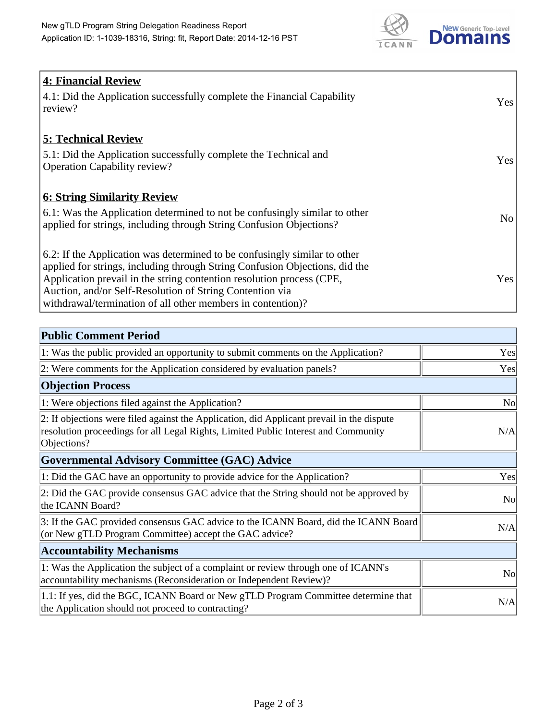

| <b>4: Financial Review</b><br>4.1: Did the Application successfully complete the Financial Capability<br>review?                                                                                                                                                                                                                                             | Yes             |
|--------------------------------------------------------------------------------------------------------------------------------------------------------------------------------------------------------------------------------------------------------------------------------------------------------------------------------------------------------------|-----------------|
| <b>5: Technical Review</b><br>5.1: Did the Application successfully complete the Technical and<br><b>Operation Capability review?</b>                                                                                                                                                                                                                        | Yes             |
| <b>6: String Similarity Review</b><br>6.1: Was the Application determined to not be confusingly similar to other<br>applied for strings, including through String Confusion Objections?                                                                                                                                                                      | No <sub>1</sub> |
| 6.2: If the Application was determined to be confusingly similar to other<br>applied for strings, including through String Confusion Objections, did the<br>Application prevail in the string contention resolution process (CPE,<br>Auction, and/or Self-Resolution of String Contention via<br>withdrawal/termination of all other members in contention)? | Yes             |

| <b>Public Comment Period</b>                                                                                                                                                                   |                |
|------------------------------------------------------------------------------------------------------------------------------------------------------------------------------------------------|----------------|
| 1: Was the public provided an opportunity to submit comments on the Application?                                                                                                               | Yes            |
| 2: Were comments for the Application considered by evaluation panels?                                                                                                                          | Yes            |
| <b>Objection Process</b>                                                                                                                                                                       |                |
| 1: Were objections filed against the Application?                                                                                                                                              | N <sub>o</sub> |
| 2: If objections were filed against the Application, did Applicant prevail in the dispute<br>resolution proceedings for all Legal Rights, Limited Public Interest and Community<br>Objections? | N/A            |
| <b>Governmental Advisory Committee (GAC) Advice</b>                                                                                                                                            |                |
| 1: Did the GAC have an opportunity to provide advice for the Application?                                                                                                                      | Yes            |
| 2: Did the GAC provide consensus GAC advice that the String should not be approved by<br>the ICANN Board?                                                                                      | <b>No</b>      |
| 3: If the GAC provided consensus GAC advice to the ICANN Board, did the ICANN Board<br>(or New gTLD Program Committee) accept the GAC advice?                                                  | N/A            |
| <b>Accountability Mechanisms</b>                                                                                                                                                               |                |
| 1: Was the Application the subject of a complaint or review through one of ICANN's<br>accountability mechanisms (Reconsideration or Independent Review)?                                       | N <sub>0</sub> |
| 1.1: If yes, did the BGC, ICANN Board or New gTLD Program Committee determine that<br>the Application should not proceed to contracting?                                                       | N/A            |